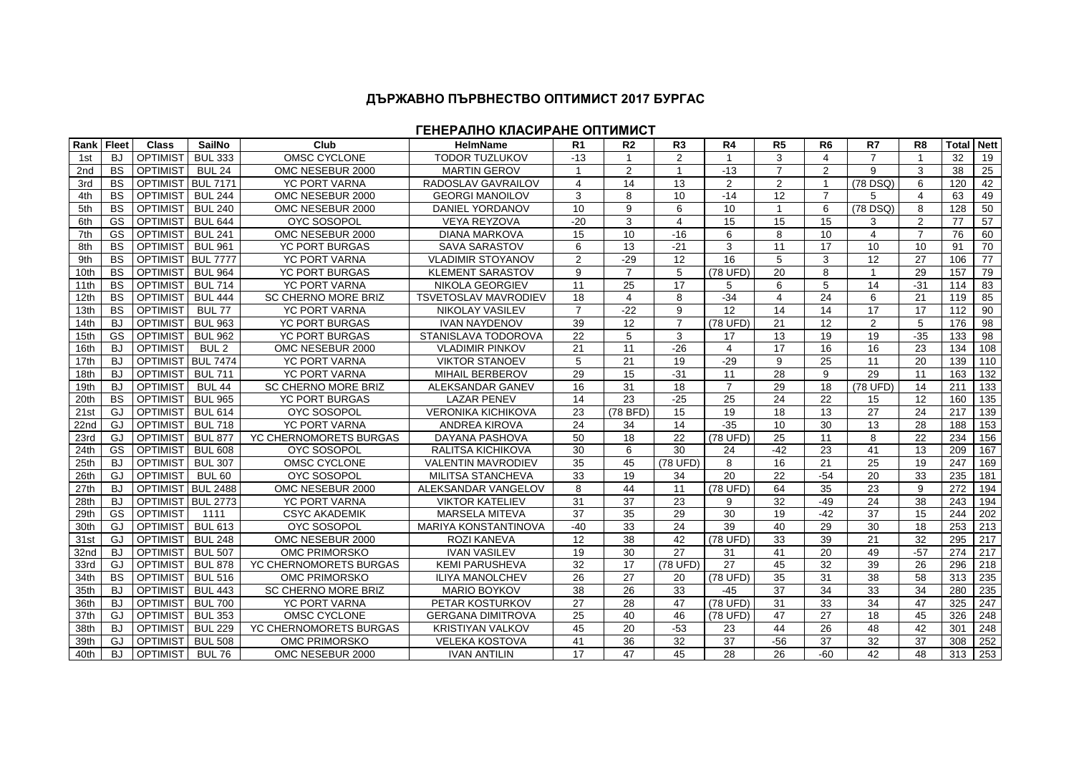## **ДЪРЖАВНО ПЪРВНЕСТВО ОПТИМИСТ 2017 БУРГАС**

**ГЕНЕРАЛНО КЛАСИРАНЕ ОПТИМИСТ**

| <b>Rank Fleet</b> |           | <b>Class</b>    | <b>SailNo</b>    | Club                       | <b>HelmName</b>             | R <sub>1</sub> | R <sub>2</sub> | R <sub>3</sub>          | R4                    | R <sub>5</sub> | R <sub>6</sub> | R7              | R <sub>8</sub> | Total | <b>Nett</b>       |
|-------------------|-----------|-----------------|------------------|----------------------------|-----------------------------|----------------|----------------|-------------------------|-----------------------|----------------|----------------|-----------------|----------------|-------|-------------------|
| 1st               | BJ        | <b>OPTIMIST</b> | <b>BUL 333</b>   | OMSC CYCLONE               | <b>TODOR TUZLUKOV</b>       | $-13$          |                | 2                       | -1                    | 3              | 4              | $\overline{7}$  |                | 32    | 19                |
| 2 <sub>nd</sub>   | <b>BS</b> | <b>OPTIMIST</b> | <b>BUL 24</b>    | OMC NESEBUR 2000           | <b>MARTIN GEROV</b>         |                | $\overline{2}$ | $\overline{1}$          | $-13$                 | $\overline{7}$ | $\overline{2}$ | 9               | 3              | 38    | 25                |
| 3rd               | <b>BS</b> | <b>OPTIMIST</b> | <b>BUL 7171</b>  | <b>YC PORT VARNA</b>       | RADOSLAV GAVRAILOV          | $\overline{4}$ | 14             | 13                      | 2                     | 2              | $\overline{1}$ | (78 DSQ)        | 6              | 120   | 42                |
| 4th               | <b>BS</b> | <b>OPTIMIST</b> | <b>BUL 244</b>   | OMC NESEBUR 2000           | <b>GEORGI MANOILOV</b>      | 3              | 8              | 10                      | $-14$                 | 12             | $\overline{7}$ | 5               | $\overline{4}$ | 63    | 49                |
| 5th               | <b>BS</b> | <b>OPTIMIST</b> | <b>BUL 240</b>   | OMC NESEBUR 2000           | DANIEL YORDANOV             | 10             | 9              | 6                       | 10                    | $\overline{1}$ | 6              | (78 DSQ)        | 8              | 128   | 50                |
| 6th               | GS        | <b>OPTIMIST</b> | <b>BUL 644</b>   | <b>OYC SOSOPOL</b>         | <b>VEYA REYZOVA</b>         | $-20$          | 3              | $\overline{\mathbf{4}}$ | 15                    | 15             | 15             | 3               | $\overline{2}$ | 77    | 57                |
| 7th               | GS        | <b>OPTIMIST</b> | <b>BUL 241</b>   | OMC NESEBUR 2000           | <b>DIANA MARKOVA</b>        | 15             | 10             | $-16$                   | 6                     | 8              | 10             | $\overline{4}$  | $\overline{7}$ | 76    | 60                |
| 8th               | <b>BS</b> | <b>OPTIMIST</b> | <b>BUL 961</b>   | <b>YC PORT BURGAS</b>      | <b>SAVA SARASTOV</b>        | 6              | 13             | $-21$                   | 3                     | 11             | 17             | 10              | 10             | 91    | 70                |
| 9th               | <b>BS</b> | <b>OPTIMIST</b> | <b>BUL 7777</b>  | <b>YC PORT VARNA</b>       | <b>VLADIMIR STOYANOV</b>    | $\overline{2}$ | $-29$          | 12                      | 16                    | 5              | 3              | 12              | 27             | 106   | 77                |
| 10th              | <b>BS</b> | <b>OPTIMIST</b> | <b>BUL 964</b>   | <b>YC PORT BURGAS</b>      | <b>KLEMENT SARASTOV</b>     | 9              | $\overline{7}$ | 5                       | (78 UFD)              | 20             | 8              | $\mathbf{1}$    | 29             | 157   | 79                |
| 11th              | <b>BS</b> | <b>OPTIMIST</b> | <b>BUL 714</b>   | <b>YC PORT VARNA</b>       | NIKOLA GEORGIEV             | 11             | 25             | 17                      | 5                     | 6              | 5              | 14              | $-31$          | 114   | 83                |
| 12th              | <b>BS</b> | <b>OPTIMIST</b> | <b>BUL 444</b>   | <b>SC CHERNO MORE BRIZ</b> | <b>TSVETOSLAV MAVRODIEV</b> | 18             | $\overline{4}$ | 8                       | $-34$                 | $\overline{4}$ | 24             | 6               | 21             | 119   | 85                |
| 13th              | <b>BS</b> | <b>OPTIMIST</b> | <b>BUL 77</b>    | <b>YC PORT VARNA</b>       | <b>NIKOLAY VASILEV</b>      | $\overline{7}$ | $-22$          | 9                       | 12                    | 14             | 14             | 17              | 17             | 112   | 90                |
| 14th              | <b>BJ</b> | <b>OPTIMIST</b> | <b>BUL 963</b>   | <b>YC PORT BURGAS</b>      | <b>IVAN NAYDENOV</b>        | 39             | 12             | $\overline{7}$          | (78 UFD)              | 21             | 12             | $\overline{2}$  | 5              | 176   | 98                |
| 15th              | GS        | <b>OPTIMIST</b> | <b>BUL 962</b>   | <b>YC PORT BURGAS</b>      | STANISLAVA TODOROVA         | 22             | 5              | 3                       | 17                    | 13             | 19             | 19              | $-35$          | 133   | 98                |
| 16th              | <b>BJ</b> | <b>OPTIMIST</b> | BUL <sub>2</sub> | OMC NESEBUR 2000           | <b>VLADIMIR PINKOV</b>      | 21             | 11             | $-26$                   | $\boldsymbol{\Delta}$ | 17             | 16             | 16              | 23             | 134   | 108               |
| 17th              | <b>BJ</b> | <b>OPTIMIST</b> | <b>BUL 7474</b>  | YC PORT VARNA              | <b>VIKTOR STANOEV</b>       | 5              | 21             | 19                      | $-29$                 | 9              | 25             | 11              | 20             | 139   | $\frac{110}{110}$ |
| 18th              | <b>BJ</b> | <b>OPTIMIST</b> | <b>BUL 711</b>   | <b>YC PORT VARNA</b>       | <b>MIHAIL BERBEROV</b>      | 29             | 15             | $-31$                   | $\overline{11}$       | 28             | 9              | 29              | 11             | 163   | 132               |
| 19th              | <b>BJ</b> | <b>OPTIMIST</b> | <b>BUL 44</b>    | <b>SC CHERNO MORE BRIZ</b> | ALEKSANDAR GANEV            | 16             | 31             | 18                      | $\overline{7}$        | 29             | 18             | (78 UFD)        | 14             | 211   | 133               |
| 20th              | <b>BS</b> | OPTIMIST        | <b>BUL 965</b>   | <b>YC PORT BURGAS</b>      | <b>LAZAR PENEV</b>          | 14             | 23             | $-25$                   | 25                    | 24             | 22             | 15              | 12             | 160   | $\overline{135}$  |
| 21st              | GJ        | <b>OPTIMIST</b> | <b>BUL 614</b>   | <b>OYC SOSOPOL</b>         | <b>VERONIKA KICHIKOVA</b>   | 23             | $(78$ BFD)     | 15                      | 19                    | 18             | 13             | 27              | 24             | 217   | 139               |
| 22nd              | GJ        | <b>OPTIMIST</b> | <b>BUL 718</b>   | <b>YC PORT VARNA</b>       | <b>ANDREA KIROVA</b>        | 24             | 34             | 14                      | $-35$                 | 10             | 30             | 13              | 28             | 188   | $\overline{153}$  |
| 23rd              | GJ        | <b>OPTIMIST</b> | <b>BUL 877</b>   | YC CHERNOMORETS BURGAS     | DAYANA PASHOVA              | 50             | 18             | 22                      | (78 UFD)              | 25             | 11             | 8               | 22             | 234   | 156               |
| 24th              | GS        | <b>OPTIMIST</b> | <b>BUL 608</b>   | <b>OYC SOSOPOL</b>         | RALITSA KICHIKOVA           | 30             | 6              | 30                      | 24                    | $-42$          | 23             | 41              | 13             | 209   | 167               |
| 25th              | <b>BJ</b> | <b>OPTIMIST</b> | <b>BUL 307</b>   | OMSC CYCLONE               | <b>VALENTIN MAVRODIEV</b>   | 35             | 45             | (78 UFD)                | 8                     | 16             | 21             | 25              | 19             | 247   | 169               |
| 26th              | GJ        | <b>OPTIMIST</b> | <b>BUL 60</b>    | <b>OYC SOSOPOL</b>         | <b>MILITSA STANCHEVA</b>    | 33             | 19             | 34                      | 20                    | 22             | $-54$          | 20              | 33             | 235   | 181               |
| 27th              | <b>BJ</b> | <b>OPTIMIST</b> | <b>BUL 2488</b>  | OMC NESEBUR 2000           | ALEKSANDAR VANGELOV         | 8              | 44             | 11                      | (78 UFD)              | 64             | 35             | $\overline{23}$ | 9              | 272   | 194               |
| 28th              | <b>BJ</b> | <b>OPTIMIST</b> | <b>BUL 2773</b>  | <b>YC PORT VARNA</b>       | <b>VIKTOR KATELIEV</b>      | 31             | 37             | 23                      | 9                     | 32             | $-49$          | 24              | 38             | 243   | 194               |
| 29th              | <b>GS</b> | <b>OPTIMIST</b> | 1111             | <b>CSYC AKADEMIK</b>       | <b>MARSELA MITEVA</b>       | 37             | 35             | 29                      | 30                    | 19             | $-42$          | 37              | 15             | 244   | 202               |
| 30th              | GJ        | <b>OPTIMIST</b> | <b>BUL 613</b>   | <b>OYC SOSOPOL</b>         | <b>MARIYA KONSTANTINOVA</b> | $-40$          | 33             | 24                      | 39                    | 40             | 29             | 30              | 18             | 253   | 213               |
| 31st              | GJ        | <b>OPTIMIST</b> | <b>BUL 248</b>   | OMC NESEBUR 2000           | <b>ROZI KANEVA</b>          | 12             | 38             | 42                      | (78 UFD)              | 33             | 39             | 21              | 32             | 295   | 217               |
| 32nd              | <b>BJ</b> | <b>OPTIMIST</b> | <b>BUL 507</b>   | OMC PRIMORSKO              | <b>IVAN VASILEV</b>         | 19             | 30             | 27                      | 31                    | 41             | 20             | 49              | $-57$          | 274   | 217               |
| 33rd              | GJ        | <b>OPTIMIST</b> | <b>BUL 878</b>   | YC CHERNOMORETS BURGAS     | <b>KEMI PARUSHEVA</b>       | 32             | 17             | (78 UFD)                | 27                    | 45             | 32             | 39              | 26             | 296   | 218               |
| 34th              | <b>BS</b> | <b>OPTIMIST</b> | <b>BUL 516</b>   | <b>OMC PRIMORSKO</b>       | <b>ILIYA MANOLCHEV</b>      | 26             | 27             | 20                      | (78 UFD)              | 35             | 31             | 38              | 58             | 313   | 235               |
| 35th              | <b>BJ</b> | <b>OPTIMIST</b> | <b>BUL 443</b>   | <b>SC CHERNO MORE BRIZ</b> | <b>MARIO BOYKOV</b>         | 38             | 26             | 33                      | $-45$                 | 37             | 34             | 33              | 34             | 280   | 235               |
| 36th              | <b>BJ</b> | <b>OPTIMIST</b> | <b>BUL 700</b>   | <b>YC PORT VARNA</b>       | PETAR KOSTURKOV             | 27             | 28             | 47                      | (78 UFD)              | 31             | 33             | 34              | 47             | 325   | 247               |
| 37th              | GJ        | <b>OPTIMIST</b> | <b>BUL 353</b>   | <b>OMSC CYCLONE</b>        | <b>GERGANA DIMITROVA</b>    | 25             | 40             | 46                      | (78 UFD)              | 47             | 27             | 18              | 45             | 326   | 248               |
| 38th              | <b>BJ</b> | <b>OPTIMIST</b> | <b>BUL 229</b>   | YC CHERNOMORETS BURGAS     | <b>KRISTIYAN VALKOV</b>     | 45             | 20             | $-53$                   | 23                    | 44             | 26             | 48              | 42             | 301   | 248               |
| 39th              | GJ        | <b>OPTIMIST</b> | <b>BUL 508</b>   | <b>OMC PRIMORSKO</b>       | <b>VELEKA KOSTOVA</b>       | 41             | 36             | 32                      | 37                    | $-56$          | 37             | 32              | 37             | 308   | 252               |
| 40th              | <b>BJ</b> | <b>OPTIMIST</b> | <b>BUL 76</b>    | OMC NESEBUR 2000           | <b>IVAN ANTILIN</b>         | 17             | 47             | 45                      | 28                    | 26             | $-60$          | 42              | 48             | 313   | 253               |